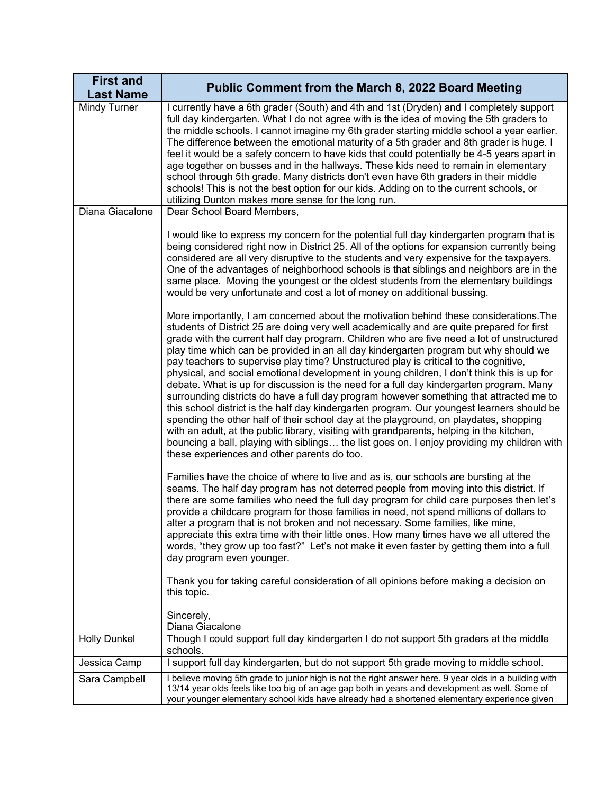| <b>First and</b><br><b>Last Name</b> | <b>Public Comment from the March 8, 2022 Board Meeting</b>                                                                                                                                                                                                                                                                                                                                                                                                                                                                                                                                                                                                                                                                                                                                                                                                                                                                                                                                                                                                                                                                                                                                                                                                                                                                                                                                                                                                                                                                                                                                                                                                                                                                                     |
|--------------------------------------|------------------------------------------------------------------------------------------------------------------------------------------------------------------------------------------------------------------------------------------------------------------------------------------------------------------------------------------------------------------------------------------------------------------------------------------------------------------------------------------------------------------------------------------------------------------------------------------------------------------------------------------------------------------------------------------------------------------------------------------------------------------------------------------------------------------------------------------------------------------------------------------------------------------------------------------------------------------------------------------------------------------------------------------------------------------------------------------------------------------------------------------------------------------------------------------------------------------------------------------------------------------------------------------------------------------------------------------------------------------------------------------------------------------------------------------------------------------------------------------------------------------------------------------------------------------------------------------------------------------------------------------------------------------------------------------------------------------------------------------------|
| Mindy Turner                         | I currently have a 6th grader (South) and 4th and 1st (Dryden) and I completely support<br>full day kindergarten. What I do not agree with is the idea of moving the 5th graders to<br>the middle schools. I cannot imagine my 6th grader starting middle school a year earlier.<br>The difference between the emotional maturity of a 5th grader and 8th grader is huge. I<br>feel it would be a safety concern to have kids that could potentially be 4-5 years apart in<br>age together on busses and in the hallways. These kids need to remain in elementary<br>school through 5th grade. Many districts don't even have 6th graders in their middle<br>schools! This is not the best option for our kids. Adding on to the current schools, or<br>utilizing Dunton makes more sense for the long run.                                                                                                                                                                                                                                                                                                                                                                                                                                                                                                                                                                                                                                                                                                                                                                                                                                                                                                                                    |
| Diana Giacalone                      | Dear School Board Members,                                                                                                                                                                                                                                                                                                                                                                                                                                                                                                                                                                                                                                                                                                                                                                                                                                                                                                                                                                                                                                                                                                                                                                                                                                                                                                                                                                                                                                                                                                                                                                                                                                                                                                                     |
|                                      | I would like to express my concern for the potential full day kindergarten program that is<br>being considered right now in District 25. All of the options for expansion currently being<br>considered are all very disruptive to the students and very expensive for the taxpayers.<br>One of the advantages of neighborhood schools is that siblings and neighbors are in the<br>same place. Moving the youngest or the oldest students from the elementary buildings<br>would be very unfortunate and cost a lot of money on additional bussing.<br>More importantly, I am concerned about the motivation behind these considerations. The<br>students of District 25 are doing very well academically and are quite prepared for first<br>grade with the current half day program. Children who are five need a lot of unstructured<br>play time which can be provided in an all day kindergarten program but why should we<br>pay teachers to supervise play time? Unstructured play is critical to the cognitive,<br>physical, and social emotional development in young children, I don't think this is up for<br>debate. What is up for discussion is the need for a full day kindergarten program. Many<br>surrounding districts do have a full day program however something that attracted me to<br>this school district is the half day kindergarten program. Our youngest learners should be<br>spending the other half of their school day at the playground, on playdates, shopping<br>with an adult, at the public library, visiting with grandparents, helping in the kitchen,<br>bouncing a ball, playing with siblings the list goes on. I enjoy providing my children with<br>these experiences and other parents do too. |
|                                      | Families have the choice of where to live and as is, our schools are bursting at the<br>seams. The half day program has not deterred people from moving into this district. If<br>there are some families who need the full day program for child care purposes then let's<br>provide a childcare program for those families in need, not spend millions of dollars to<br>alter a program that is not broken and not necessary. Some families, like mine,<br>appreciate this extra time with their little ones. How many times have we all uttered the<br>words, "they grow up too fast?" Let's not make it even faster by getting them into a full<br>day program even younger.<br>Thank you for taking careful consideration of all opinions before making a decision on<br>this topic.<br>Sincerely,                                                                                                                                                                                                                                                                                                                                                                                                                                                                                                                                                                                                                                                                                                                                                                                                                                                                                                                                        |
| <b>Holly Dunkel</b>                  | Diana Giacalone<br>Though I could support full day kindergarten I do not support 5th graders at the middle                                                                                                                                                                                                                                                                                                                                                                                                                                                                                                                                                                                                                                                                                                                                                                                                                                                                                                                                                                                                                                                                                                                                                                                                                                                                                                                                                                                                                                                                                                                                                                                                                                     |
|                                      | schools.                                                                                                                                                                                                                                                                                                                                                                                                                                                                                                                                                                                                                                                                                                                                                                                                                                                                                                                                                                                                                                                                                                                                                                                                                                                                                                                                                                                                                                                                                                                                                                                                                                                                                                                                       |
| Jessica Camp                         | I support full day kindergarten, but do not support 5th grade moving to middle school.<br>I believe moving 5th grade to junior high is not the right answer here. 9 year olds in a building with                                                                                                                                                                                                                                                                                                                                                                                                                                                                                                                                                                                                                                                                                                                                                                                                                                                                                                                                                                                                                                                                                                                                                                                                                                                                                                                                                                                                                                                                                                                                               |
| Sara Campbell                        | 13/14 year olds feels like too big of an age gap both in years and development as well. Some of<br>your younger elementary school kids have already had a shortened elementary experience given                                                                                                                                                                                                                                                                                                                                                                                                                                                                                                                                                                                                                                                                                                                                                                                                                                                                                                                                                                                                                                                                                                                                                                                                                                                                                                                                                                                                                                                                                                                                                |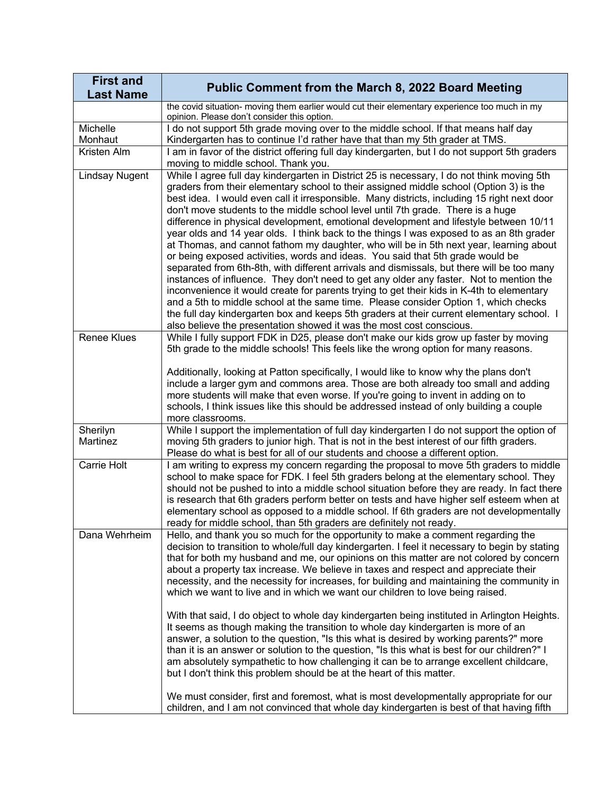| <b>First and</b><br><b>Last Name</b> | <b>Public Comment from the March 8, 2022 Board Meeting</b>                                                                                                                                                                                                                                                                                                                                                                                                                                                                                                                                                                                                                                                                                                                                                                                                                                                                                                                                                                                                                                                                                                                                                                                                                                |
|--------------------------------------|-------------------------------------------------------------------------------------------------------------------------------------------------------------------------------------------------------------------------------------------------------------------------------------------------------------------------------------------------------------------------------------------------------------------------------------------------------------------------------------------------------------------------------------------------------------------------------------------------------------------------------------------------------------------------------------------------------------------------------------------------------------------------------------------------------------------------------------------------------------------------------------------------------------------------------------------------------------------------------------------------------------------------------------------------------------------------------------------------------------------------------------------------------------------------------------------------------------------------------------------------------------------------------------------|
|                                      | the covid situation- moving them earlier would cut their elementary experience too much in my<br>opinion. Please don't consider this option.                                                                                                                                                                                                                                                                                                                                                                                                                                                                                                                                                                                                                                                                                                                                                                                                                                                                                                                                                                                                                                                                                                                                              |
| Michelle<br>Monhaut                  | I do not support 5th grade moving over to the middle school. If that means half day<br>Kindergarten has to continue I'd rather have that than my 5th grader at TMS.                                                                                                                                                                                                                                                                                                                                                                                                                                                                                                                                                                                                                                                                                                                                                                                                                                                                                                                                                                                                                                                                                                                       |
| Kristen Alm                          | I am in favor of the district offering full day kindergarten, but I do not support 5th graders<br>moving to middle school. Thank you.                                                                                                                                                                                                                                                                                                                                                                                                                                                                                                                                                                                                                                                                                                                                                                                                                                                                                                                                                                                                                                                                                                                                                     |
| <b>Lindsay Nugent</b>                | While I agree full day kindergarten in District 25 is necessary, I do not think moving 5th<br>graders from their elementary school to their assigned middle school (Option 3) is the<br>best idea. I would even call it irresponsible. Many districts, including 15 right next door<br>don't move students to the middle school level until 7th grade. There is a huge<br>difference in physical development, emotional development and lifestyle between 10/11<br>year olds and 14 year olds. I think back to the things I was exposed to as an 8th grader<br>at Thomas, and cannot fathom my daughter, who will be in 5th next year, learning about<br>or being exposed activities, words and ideas. You said that 5th grade would be<br>separated from 6th-8th, with different arrivals and dismissals, but there will be too many<br>instances of influence. They don't need to get any older any faster. Not to mention the<br>inconvenience it would create for parents trying to get their kids in K-4th to elementary<br>and a 5th to middle school at the same time. Please consider Option 1, which checks<br>the full day kindergarten box and keeps 5th graders at their current elementary school. I<br>also believe the presentation showed it was the most cost conscious. |
| <b>Renee Klues</b>                   | While I fully support FDK in D25, please don't make our kids grow up faster by moving<br>5th grade to the middle schools! This feels like the wrong option for many reasons.<br>Additionally, looking at Patton specifically, I would like to know why the plans don't<br>include a larger gym and commons area. Those are both already too small and adding<br>more students will make that even worse. If you're going to invent in adding on to<br>schools, I think issues like this should be addressed instead of only building a couple<br>more classrooms.                                                                                                                                                                                                                                                                                                                                                                                                                                                                                                                                                                                                                                                                                                                         |
| Sherilyn<br>Martinez                 | While I support the implementation of full day kindergarten I do not support the option of<br>moving 5th graders to junior high. That is not in the best interest of our fifth graders.<br>Please do what is best for all of our students and choose a different option.                                                                                                                                                                                                                                                                                                                                                                                                                                                                                                                                                                                                                                                                                                                                                                                                                                                                                                                                                                                                                  |
| Carrie Holt                          | I am writing to express my concern regarding the proposal to move 5th graders to middle<br>school to make space for FDK. I feel 5th graders belong at the elementary school. They<br>should not be pushed to into a middle school situation before they are ready. In fact there<br>is research that 6th graders perform better on tests and have higher self esteem when at<br>elementary school as opposed to a middle school. If 6th graders are not developmentally<br>ready for middle school, than 5th graders are definitely not ready.                                                                                                                                                                                                                                                                                                                                                                                                                                                                                                                                                                                                                                                                                                                                            |
| Dana Wehrheim                        | Hello, and thank you so much for the opportunity to make a comment regarding the<br>decision to transition to whole/full day kindergarten. I feel it necessary to begin by stating<br>that for both my husband and me, our opinions on this matter are not colored by concern<br>about a property tax increase. We believe in taxes and respect and appreciate their<br>necessity, and the necessity for increases, for building and maintaining the community in<br>which we want to live and in which we want our children to love being raised.<br>With that said, I do object to whole day kindergarten being instituted in Arlington Heights.<br>It seems as though making the transition to whole day kindergarten is more of an<br>answer, a solution to the question, "Is this what is desired by working parents?" more<br>than it is an answer or solution to the question, "Is this what is best for our children?" I<br>am absolutely sympathetic to how challenging it can be to arrange excellent childcare,<br>but I don't think this problem should be at the heart of this matter.                                                                                                                                                                                       |
|                                      | We must consider, first and foremost, what is most developmentally appropriate for our<br>children, and I am not convinced that whole day kindergarten is best of that having fifth                                                                                                                                                                                                                                                                                                                                                                                                                                                                                                                                                                                                                                                                                                                                                                                                                                                                                                                                                                                                                                                                                                       |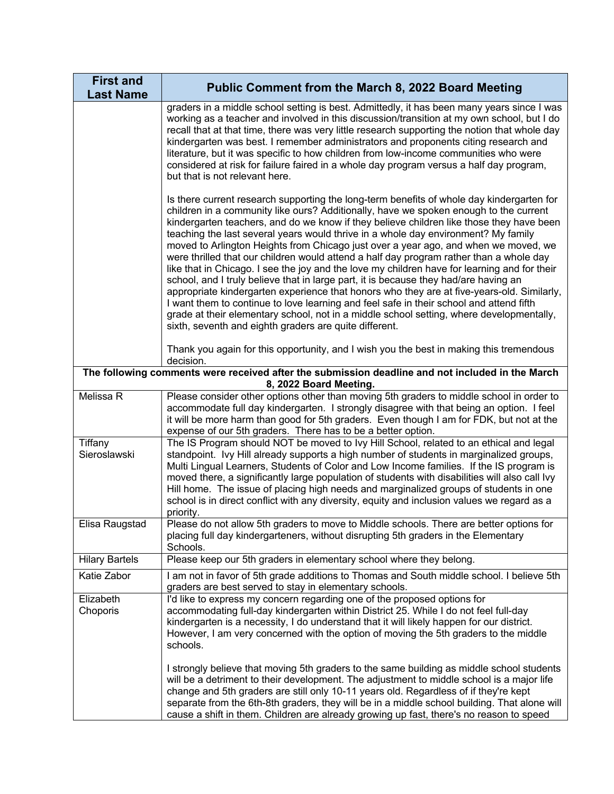| <b>First and</b><br><b>Last Name</b>                                                                                       | <b>Public Comment from the March 8, 2022 Board Meeting</b>                                                                                                                                                                                                                                                                                                                                                                                                                                                                                                                                                                                                                                                                                                                                                                                                                                                                                                                                                                                                                                    |  |  |
|----------------------------------------------------------------------------------------------------------------------------|-----------------------------------------------------------------------------------------------------------------------------------------------------------------------------------------------------------------------------------------------------------------------------------------------------------------------------------------------------------------------------------------------------------------------------------------------------------------------------------------------------------------------------------------------------------------------------------------------------------------------------------------------------------------------------------------------------------------------------------------------------------------------------------------------------------------------------------------------------------------------------------------------------------------------------------------------------------------------------------------------------------------------------------------------------------------------------------------------|--|--|
|                                                                                                                            | graders in a middle school setting is best. Admittedly, it has been many years since I was<br>working as a teacher and involved in this discussion/transition at my own school, but I do<br>recall that at that time, there was very little research supporting the notion that whole day<br>kindergarten was best. I remember administrators and proponents citing research and<br>literature, but it was specific to how children from low-income communities who were<br>considered at risk for failure faired in a whole day program versus a half day program,<br>but that is not relevant here.                                                                                                                                                                                                                                                                                                                                                                                                                                                                                         |  |  |
|                                                                                                                            | Is there current research supporting the long-term benefits of whole day kindergarten for<br>children in a community like ours? Additionally, have we spoken enough to the current<br>kindergarten teachers, and do we know if they believe children like those they have been<br>teaching the last several years would thrive in a whole day environment? My family<br>moved to Arlington Heights from Chicago just over a year ago, and when we moved, we<br>were thrilled that our children would attend a half day program rather than a whole day<br>like that in Chicago. I see the joy and the love my children have for learning and for their<br>school, and I truly believe that in large part, it is because they had/are having an<br>appropriate kindergarten experience that honors who they are at five-years-old. Similarly,<br>I want them to continue to love learning and feel safe in their school and attend fifth<br>grade at their elementary school, not in a middle school setting, where developmentally,<br>sixth, seventh and eighth graders are quite different. |  |  |
|                                                                                                                            | Thank you again for this opportunity, and I wish you the best in making this tremendous<br>decision.                                                                                                                                                                                                                                                                                                                                                                                                                                                                                                                                                                                                                                                                                                                                                                                                                                                                                                                                                                                          |  |  |
| The following comments were received after the submission deadline and not included in the March<br>8, 2022 Board Meeting. |                                                                                                                                                                                                                                                                                                                                                                                                                                                                                                                                                                                                                                                                                                                                                                                                                                                                                                                                                                                                                                                                                               |  |  |
| Melissa R                                                                                                                  | Please consider other options other than moving 5th graders to middle school in order to<br>accommodate full day kindergarten. I strongly disagree with that being an option. I feel<br>it will be more harm than good for 5th graders. Even though I am for FDK, but not at the<br>expense of our 5th graders. There has to be a better option.                                                                                                                                                                                                                                                                                                                                                                                                                                                                                                                                                                                                                                                                                                                                              |  |  |
| Tiffany<br>Sieroslawski                                                                                                    | The IS Program should NOT be moved to Ivy Hill School, related to an ethical and legal<br>standpoint. Ivy Hill already supports a high number of students in marginalized groups,<br>Multi Lingual Learners, Students of Color and Low Income families. If the IS program is<br>moved there, a significantly large population of students with disabilities will also call Ivy<br>Hill home. The issue of placing high needs and marginalized groups of students in one<br>school is in direct conflict with any diversity, equity and inclusion values we regard as a<br>priority.                                                                                                                                                                                                                                                                                                                                                                                                                                                                                                           |  |  |
| Elisa Raugstad                                                                                                             | Please do not allow 5th graders to move to Middle schools. There are better options for<br>placing full day kindergarteners, without disrupting 5th graders in the Elementary<br>Schools.                                                                                                                                                                                                                                                                                                                                                                                                                                                                                                                                                                                                                                                                                                                                                                                                                                                                                                     |  |  |
| <b>Hilary Bartels</b>                                                                                                      | Please keep our 5th graders in elementary school where they belong.                                                                                                                                                                                                                                                                                                                                                                                                                                                                                                                                                                                                                                                                                                                                                                                                                                                                                                                                                                                                                           |  |  |
| Katie Zabor                                                                                                                | I am not in favor of 5th grade additions to Thomas and South middle school. I believe 5th<br>graders are best served to stay in elementary schools.                                                                                                                                                                                                                                                                                                                                                                                                                                                                                                                                                                                                                                                                                                                                                                                                                                                                                                                                           |  |  |
| Elizabeth<br>Choporis                                                                                                      | I'd like to express my concern regarding one of the proposed options for<br>accommodating full-day kindergarten within District 25. While I do not feel full-day<br>kindergarten is a necessity, I do understand that it will likely happen for our district.<br>However, I am very concerned with the option of moving the 5th graders to the middle<br>schools.                                                                                                                                                                                                                                                                                                                                                                                                                                                                                                                                                                                                                                                                                                                             |  |  |
|                                                                                                                            | I strongly believe that moving 5th graders to the same building as middle school students<br>will be a detriment to their development. The adjustment to middle school is a major life<br>change and 5th graders are still only 10-11 years old. Regardless of if they're kept<br>separate from the 6th-8th graders, they will be in a middle school building. That alone will<br>cause a shift in them. Children are already growing up fast, there's no reason to speed                                                                                                                                                                                                                                                                                                                                                                                                                                                                                                                                                                                                                     |  |  |